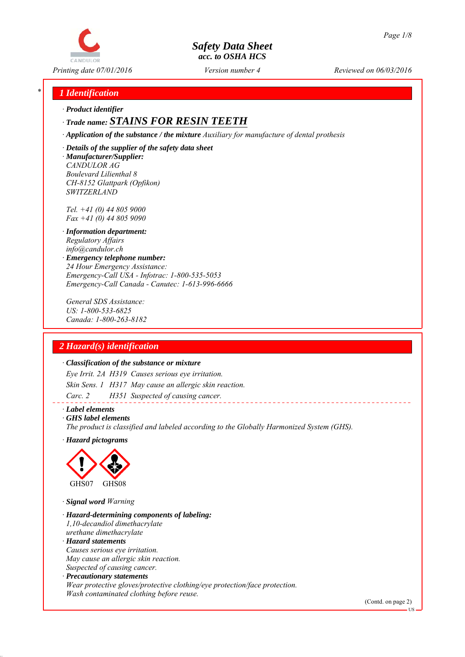

*Printing date 07/01/2016 Reviewed on 06/03/2016 Version number 4*

## *\* 1 Identification*

*∙ Product identifier*

*SWITZERLAND*

# *∙ Trade name: STAINS FOR RESIN TEETH*

*∙ Application of the substance / the mixture Auxiliary for manufacture of dental prothesis*

*∙ Details of the supplier of the safety data sheet ∙ Manufacturer/Supplier: CANDULOR AG Boulevard Lilienthal 8*

*Tel. +41 (0) 44 805 9000 Fax +41 (0) 44 805 9090*

*CH-8152 Glattpark (Opfikon)*

- *∙ Information department: Regulatory Affairs info@candulor.ch*
- *∙ Emergency telephone number: 24 Hour Emergency Assistance: Emergency-Call USA - Infotrac: 1-800-535-5053 Emergency-Call Canada - Canutec: 1-613-996-6666*

*General SDS Assistance: US: 1-800-533-6825 Canada: 1-800-263-8182*

## *2 Hazard(s) identification*

#### *∙ Classification of the substance or mixture*

*Eye Irrit. 2A H319 Causes serious eye irritation. Skin Sens. 1 H317 May cause an allergic skin reaction. Carc. 2 H351 Suspected of causing cancer.*

#### *∙ Label elements*

*∙ GHS label elements*

*The product is classified and labeled according to the Globally Harmonized System (GHS).*

*∙ Hazard pictograms*



*∙ Signal word Warning*

*∙ Hazard-determining components of labeling: 1,10-decandiol dimethacrylate urethane dimethacrylate ∙ Hazard statements Causes serious eye irritation.*

*May cause an allergic skin reaction. Suspected of causing cancer.*

*∙ Precautionary statements Wear protective gloves/protective clothing/eye protection/face protection. Wash contaminated clothing before reuse.*

(Contd. on page 2)

US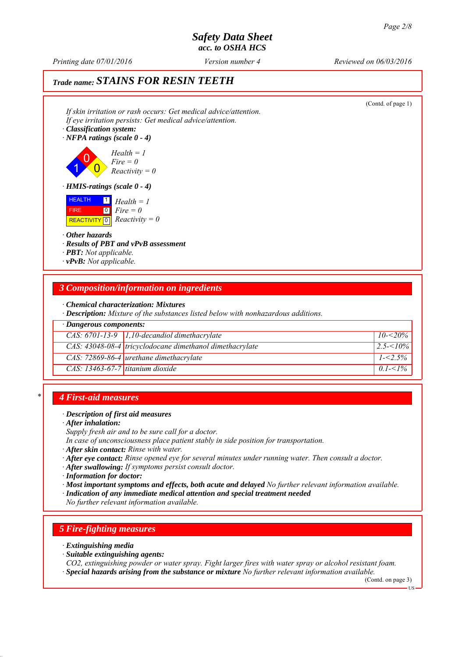*Printing date 07/01/2016 Reviewed on 06/03/2016 Version number 4*

# *Trade name: STAINS FOR RESIN TEETH*

| If skin irritation or rash occurs: Get medical advice/attention.<br>If eye irritation persists: Get medical advice/attention.<br>· Classification system:<br>$\cdot$ NFPA ratings (scale 0 - 4) | (Contd. of page 1) |
|-------------------------------------------------------------------------------------------------------------------------------------------------------------------------------------------------|--------------------|
| $Health = 1$<br>$Fire = 0$<br>$Reactivity = 0$                                                                                                                                                  |                    |
| $\cdot$ HMIS-ratings (scale 0 - 4)                                                                                                                                                              |                    |
| <b>HEALTH</b><br>$\boxed{1}$<br>$Health = 1$<br>$\begin{bmatrix} 0 \\ Fire = 0 \end{bmatrix}$<br><b>FIRE</b><br>REACTIVITY 0 $Reactivity = 0$                                                   |                    |
| $\cdot$ Other hazards<br>· Results of PBT and vPvB assessment<br>$\cdot$ <b>PBT</b> : Not applicable.<br>$\cdot$ vPvB: Not applicable.                                                          |                    |
| 3 Composition/information on ingredients                                                                                                                                                        |                    |
| $\cdot$ Chemical characterization: Mixtures<br>· Description: Mixture of the substances listed below with nonhazardous additions.                                                               |                    |
| $\cdot$ Dangerous components:                                                                                                                                                                   |                    |
| CAS: $6701-13-9$ 1,10-decandiol dimethacrylate                                                                                                                                                  | $10 - 520%$        |
| CAS: 43048-08-4 tricyclodocane dimethanol dimethacrylate                                                                                                                                        | $2.5 - 10\%$       |
| $CAS: 72869-86-4$ urethane dimethacrylate                                                                                                                                                       | $1 - 2.5\%$        |
| $CAS: 13463-67-7$ titanium dioxide                                                                                                                                                              | $0.1 - 1\%$        |

### *\* 4 First-aid measures*

#### *∙ Description of first aid measures*

*∙ After inhalation:*

*Supply fresh air and to be sure call for a doctor.*

*In case of unconsciousness place patient stably in side position for transportation.*

- *∙ After skin contact: Rinse with water.*
- *∙ After eye contact: Rinse opened eye for several minutes under running water. Then consult a doctor.*

*∙ After swallowing: If symptoms persist consult doctor.*

*∙ Information for doctor:*

*∙ Most important symptoms and effects, both acute and delayed No further relevant information available.*

*∙ Indication of any immediate medical attention and special treatment needed*

*No further relevant information available.*

### *5 Fire-fighting measures*

*∙ Extinguishing media*

*∙ Suitable extinguishing agents:*

*CO2, extinguishing powder or water spray. Fight larger fires with water spray or alcohol resistant foam. ∙ Special hazards arising from the substance or mixture No further relevant information available.*

(Contd. on page 3)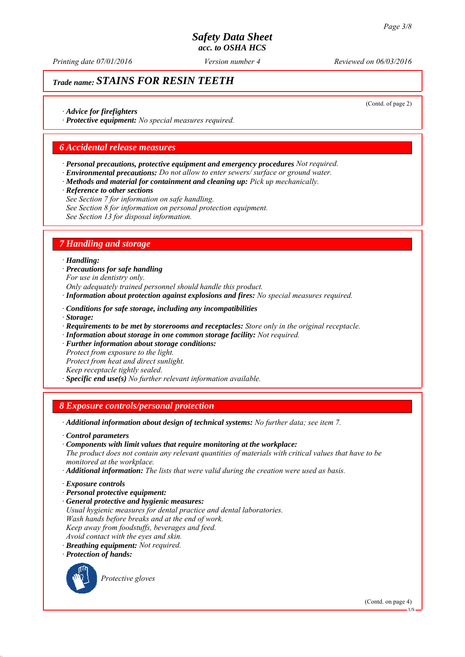*Printing date 07/01/2016 Reviewed on 06/03/2016 Version number 4*

# *Trade name: STAINS FOR RESIN TEETH*

(Contd. of page 2)

*∙ Advice for firefighters*

*∙ Protective equipment: No special measures required.*

## *6 Accidental release measures*

- *∙ Personal precautions, protective equipment and emergency procedures Not required.*
- *∙ Environmental precautions: Do not allow to enter sewers/ surface or ground water.*
- *∙ Methods and material for containment and cleaning up: Pick up mechanically.*
- *∙ Reference to other sections*
- *See Section 7 for information on safe handling.*
- *See Section 8 for information on personal protection equipment.*
- *See Section 13 for disposal information.*

# *7 Handling and storage*

#### *∙ Handling:*

- *∙ Precautions for safe handling For use in dentistry only.*
- *Only adequately trained personnel should handle this product.*
- *∙ Information about protection against explosions and fires: No special measures required.*
- *∙ Conditions for safe storage, including any incompatibilities*
- *∙ Storage:*
- *∙ Requirements to be met by storerooms and receptacles: Store only in the original receptacle.*
- *∙ Information about storage in one common storage facility: Not required.*
- *∙ Further information about storage conditions: Protect from exposure to the light. Protect from heat and direct sunlight.*
- *Keep receptacle tightly sealed.*
- *∙ Specific end use(s) No further relevant information available.*

### *8 Exposure controls/personal protection*

- *∙ Additional information about design of technical systems: No further data; see item 7.*
- *∙ Control parameters*
- *∙ Components with limit values that require monitoring at the workplace:*

*The product does not contain any relevant quantities of materials with critical values that have to be monitored at the workplace.*

- *∙ Additional information: The lists that were valid during the creation were used as basis.*
- *∙ Exposure controls*
- *∙ Personal protective equipment:*
- *∙ General protective and hygienic measures: Usual hygienic measures for dental practice and dental laboratories. Wash hands before breaks and at the end of work. Keep away from foodstuffs, beverages and feed. Avoid contact with the eyes and skin.*
- *∙ Breathing equipment: Not required.*
- *∙ Protection of hands:*



*Protective gloves*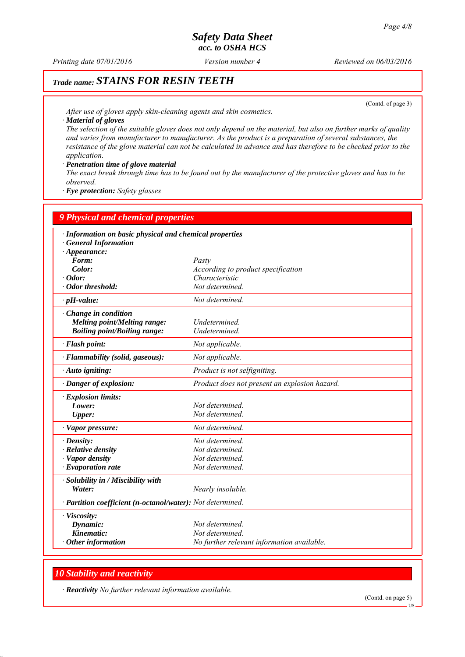*Printing date 07/01/2016 Reviewed on 06/03/2016 Version number 4*

# *Trade name: STAINS FOR RESIN TEETH*

(Contd. of page 3)

*After use of gloves apply skin-cleaning agents and skin cosmetics. ∙ Material of gloves*

*The selection of the suitable gloves does not only depend on the material, but also on further marks of quality and varies from manufacturer to manufacturer. As the product is a preparation of several substances, the resistance of the glove material can not be calculated in advance and has therefore to be checked prior to the application.*

*∙ Penetration time of glove material*

*The exact break through time has to be found out by the manufacturer of the protective gloves and has to be observed.*

*∙ Eye protection: Safety glasses*

| · Information on basic physical and chemical properties<br><b>General Information</b><br>$\cdot$ Appearance:<br>Form:<br>Pasty<br>Color:<br>According to product specification<br>Characteristic<br>$\cdot$ Odor:<br>· Odor threshold:<br>Not determined.<br>Not determined.<br>$\cdot$ pH-value:<br>Change in condition<br><b>Melting point/Melting range:</b><br>Undetermined.<br><b>Boiling point/Boiling range:</b><br><b>Undetermined</b><br>· Flash point:<br>Not applicable.<br>· Flammability (solid, gaseous):<br>Not applicable.<br>Product is not selfigniting.<br>· Auto igniting:<br>Product does not present an explosion hazard.<br>Danger of explosion:<br>$\cdot$ Explosion limits:<br>Not determined.<br>Lower:<br>Not determined.<br>Upper:<br>Not determined.<br>· Vapor pressure: |  |
|--------------------------------------------------------------------------------------------------------------------------------------------------------------------------------------------------------------------------------------------------------------------------------------------------------------------------------------------------------------------------------------------------------------------------------------------------------------------------------------------------------------------------------------------------------------------------------------------------------------------------------------------------------------------------------------------------------------------------------------------------------------------------------------------------------|--|
|                                                                                                                                                                                                                                                                                                                                                                                                                                                                                                                                                                                                                                                                                                                                                                                                        |  |
|                                                                                                                                                                                                                                                                                                                                                                                                                                                                                                                                                                                                                                                                                                                                                                                                        |  |
|                                                                                                                                                                                                                                                                                                                                                                                                                                                                                                                                                                                                                                                                                                                                                                                                        |  |
|                                                                                                                                                                                                                                                                                                                                                                                                                                                                                                                                                                                                                                                                                                                                                                                                        |  |
|                                                                                                                                                                                                                                                                                                                                                                                                                                                                                                                                                                                                                                                                                                                                                                                                        |  |
|                                                                                                                                                                                                                                                                                                                                                                                                                                                                                                                                                                                                                                                                                                                                                                                                        |  |
|                                                                                                                                                                                                                                                                                                                                                                                                                                                                                                                                                                                                                                                                                                                                                                                                        |  |
|                                                                                                                                                                                                                                                                                                                                                                                                                                                                                                                                                                                                                                                                                                                                                                                                        |  |
|                                                                                                                                                                                                                                                                                                                                                                                                                                                                                                                                                                                                                                                                                                                                                                                                        |  |
|                                                                                                                                                                                                                                                                                                                                                                                                                                                                                                                                                                                                                                                                                                                                                                                                        |  |
|                                                                                                                                                                                                                                                                                                                                                                                                                                                                                                                                                                                                                                                                                                                                                                                                        |  |
|                                                                                                                                                                                                                                                                                                                                                                                                                                                                                                                                                                                                                                                                                                                                                                                                        |  |
|                                                                                                                                                                                                                                                                                                                                                                                                                                                                                                                                                                                                                                                                                                                                                                                                        |  |
|                                                                                                                                                                                                                                                                                                                                                                                                                                                                                                                                                                                                                                                                                                                                                                                                        |  |
|                                                                                                                                                                                                                                                                                                                                                                                                                                                                                                                                                                                                                                                                                                                                                                                                        |  |
|                                                                                                                                                                                                                                                                                                                                                                                                                                                                                                                                                                                                                                                                                                                                                                                                        |  |
|                                                                                                                                                                                                                                                                                                                                                                                                                                                                                                                                                                                                                                                                                                                                                                                                        |  |
|                                                                                                                                                                                                                                                                                                                                                                                                                                                                                                                                                                                                                                                                                                                                                                                                        |  |
| Not determined.<br>$\cdot$ Density:                                                                                                                                                                                                                                                                                                                                                                                                                                                                                                                                                                                                                                                                                                                                                                    |  |
| $\cdot$ Relative density<br>Not determined.                                                                                                                                                                                                                                                                                                                                                                                                                                                                                                                                                                                                                                                                                                                                                            |  |
| · Vapor density<br>Not determined.                                                                                                                                                                                                                                                                                                                                                                                                                                                                                                                                                                                                                                                                                                                                                                     |  |
| $\cdot$ Evaporation rate<br>Not determined.                                                                                                                                                                                                                                                                                                                                                                                                                                                                                                                                                                                                                                                                                                                                                            |  |
| · Solubility in / Miscibility with                                                                                                                                                                                                                                                                                                                                                                                                                                                                                                                                                                                                                                                                                                                                                                     |  |
| Water:<br>Nearly insoluble.                                                                                                                                                                                                                                                                                                                                                                                                                                                                                                                                                                                                                                                                                                                                                                            |  |
| · Partition coefficient (n-octanol/water): Not determined.                                                                                                                                                                                                                                                                                                                                                                                                                                                                                                                                                                                                                                                                                                                                             |  |
| · Viscosity:                                                                                                                                                                                                                                                                                                                                                                                                                                                                                                                                                                                                                                                                                                                                                                                           |  |
| Dynamic:<br>Not determined.                                                                                                                                                                                                                                                                                                                                                                                                                                                                                                                                                                                                                                                                                                                                                                            |  |
| Kinematic:<br>Not determined.                                                                                                                                                                                                                                                                                                                                                                                                                                                                                                                                                                                                                                                                                                                                                                          |  |
| $\cdot$ Other information<br>No further relevant information available.                                                                                                                                                                                                                                                                                                                                                                                                                                                                                                                                                                                                                                                                                                                                |  |

## *10 Stability and reactivity*

*∙ Reactivity No further relevant information available.*

(Contd. on page 5)

US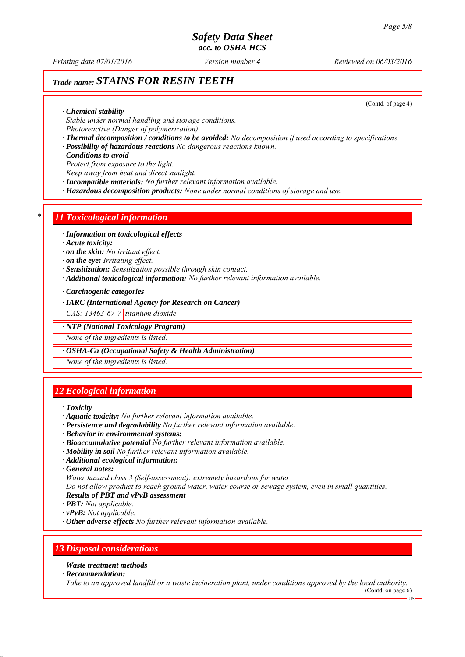*Printing date 07/01/2016 Reviewed on 06/03/2016 Version number 4*

# *Trade name: STAINS FOR RESIN TEETH*

(Contd. of page 4)

*∙ Chemical stability*

*Stable under normal handling and storage conditions.*

*Photoreactive (Danger of polymerization).*

*∙ Thermal decomposition / conditions to be avoided: No decomposition if used according to specifications.*

*∙ Possibility of hazardous reactions No dangerous reactions known.*

*∙ Conditions to avoid*

*Protect from exposure to the light.*

*Keep away from heat and direct sunlight.*

*∙ Incompatible materials: No further relevant information available.*

*∙ Hazardous decomposition products: None under normal conditions of storage and use.*

## *\* 11 Toxicological information*

*∙ Information on toxicological effects*

*∙ Acute toxicity:*

*∙ on the skin: No irritant effect.*

*∙ on the eye: Irritating effect.*

- *∙ Sensitization: Sensitization possible through skin contact.*
- *∙ Additional toxicological information: No further relevant information available.*

*∙ Carcinogenic categories*

#### *∙ IARC (International Agency for Research on Cancer)*

*CAS: 13463-67-7 titanium dioxide*

*∙ NTP (National Toxicology Program)*

*None of the ingredients is listed.*

*∙ OSHA-Ca (Occupational Safety & Health Administration)*

*None of the ingredients is listed.*

## *12 Ecological information*

- *∙ Toxicity*
- *∙ Aquatic toxicity: No further relevant information available.*
- *∙ Persistence and degradability No further relevant information available.*
- *∙ Behavior in environmental systems:*
- *∙ Bioaccumulative potential No further relevant information available.*
- *∙ Mobility in soil No further relevant information available.*
- *∙ Additional ecological information:*

*∙ General notes:*

*Water hazard class 3 (Self-assessment): extremely hazardous for water*

*Do not allow product to reach ground water, water course or sewage system, even in small quantities.*

*∙ Results of PBT and vPvB assessment*

*∙ PBT: Not applicable.*

*∙ vPvB: Not applicable.*

*∙ Other adverse effects No further relevant information available.*

## *13 Disposal considerations*

*∙ Waste treatment methods*

*∙ Recommendation:*

*Take to an approved landfill or a waste incineration plant, under conditions approved by the local authority.*

(Contd. on page 6)

US

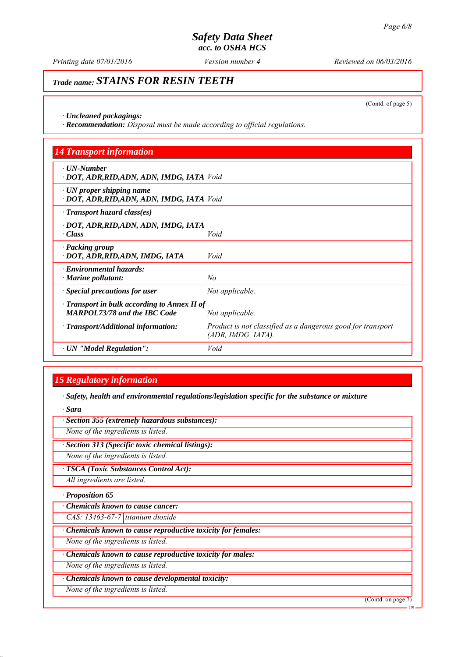*Printing date 07/01/2016 Reviewed on 06/03/2016 Version number 4*

# *Trade name: STAINS FOR RESIN TEETH*

(Contd. of page 5)

*∙ Uncleaned packagings:*

*∙ Recommendation: Disposal must be made according to official regulations.*

| <b>14 Transport information</b>                                                           |                                                                                      |
|-------------------------------------------------------------------------------------------|--------------------------------------------------------------------------------------|
| $\cdot$ UN-Number<br>· DOT, ADR, RID, ADN, ADN, IMDG, IATA Void                           |                                                                                      |
| $\cdot$ UN proper shipping name<br>· DOT, ADR, RID, ADN, ADN, IMDG, IATA Void             |                                                                                      |
| $\cdot$ Transport hazard class(es)                                                        |                                                                                      |
| · DOT, ADR,RID,ADN, ADN, IMDG, IATA<br>$\cdot Class$                                      | Void                                                                                 |
| · Packing group<br>· DOT, ADR, RID, ADN, IMDG, IATA                                       | Void                                                                                 |
| · Environmental hazards:<br>$\cdot$ Marine pollutant:                                     | No                                                                                   |
| $\cdot$ Special precautions for user                                                      | Not applicable.                                                                      |
| $\cdot$ Transport in bulk according to Annex II of<br><b>MARPOL73/78 and the IBC Code</b> | Not applicable.                                                                      |
| · Transport/Additional information:                                                       | Product is not classified as a dangerous good for transport<br>$(ADR, IMDG, IATA)$ . |
| · UN "Model Regulation":                                                                  | Void                                                                                 |

# *15 Regulatory information*

*∙ Safety, health and environmental regulations/legislation specific for the substance or mixture*

*∙ Sara*

*∙ Section 355 (extremely hazardous substances):*

*None of the ingredients is listed.*

*∙ Section 313 (Specific toxic chemical listings):*

*None of the ingredients is listed.*

*∙ TSCA (Toxic Substances Control Act):*

*All ingredients are listed.*

*∙ Proposition 65*

*∙ Chemicals known to cause cancer:*

*CAS: 13463-67-7 titanium dioxide*

*∙ Chemicals known to cause reproductive toxicity for females:*

*None of the ingredients is listed.*

*∙ Chemicals known to cause reproductive toxicity for males:*

*None of the ingredients is listed.*

*∙ Chemicals known to cause developmental toxicity:*

*None of the ingredients is listed.*

(Contd. on page 7)

US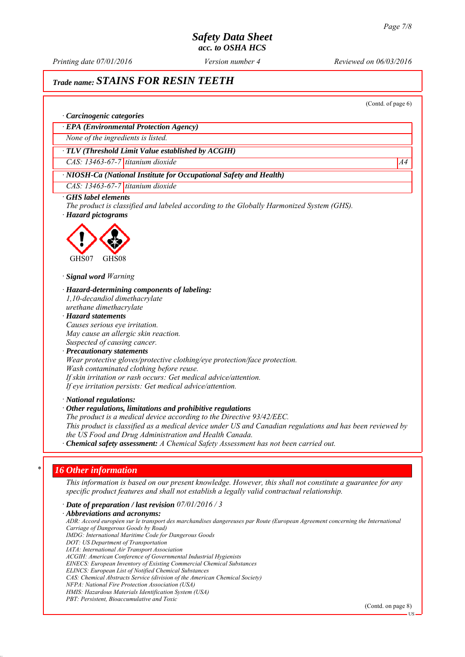*Printing date 07/01/2016 Reviewed on 06/03/2016 Version number 4*

# *Trade name: STAINS FOR RESIN TEETH*

(Contd. of page 6)

#### *∙ Carcinogenic categories*

*∙ EPA (Environmental Protection Agency)*

*None of the ingredients is listed.*

#### *∙ TLV (Threshold Limit Value established by ACGIH)*

*CAS: 13463-67-7 titanium dioxide A4*

### *∙ NIOSH-Ca (National Institute for Occupational Safety and Health)*

*CAS: 13463-67-7 titanium dioxide*

#### *∙ GHS label elements*

*The product is classified and labeled according to the Globally Harmonized System (GHS). ∙ Hazard pictograms*



#### *∙ Signal word Warning*

*∙ Hazard-determining components of labeling: 1,10-decandiol dimethacrylate urethane dimethacrylate*

*∙ Hazard statements Causes serious eye irritation. May cause an allergic skin reaction. Suspected of causing cancer.*

#### *∙ Precautionary statements Wear protective gloves/protective clothing/eye protection/face protection. Wash contaminated clothing before reuse. If skin irritation or rash occurs: Get medical advice/attention. If eye irritation persists: Get medical advice/attention.*

*∙ National regulations:*

#### *∙ Other regulations, limitations and prohibitive regulations*

*The product is a medical device according to the Directive 93/42/EEC. This product is classified as a medical device under US and Canadian regulations and has been reviewed by the US Food and Drug Administration and Health Canada.*

*∙ Chemical safety assessment: A Chemical Safety Assessment has not been carried out.*

#### *\* 16 Other information*

*This information is based on our present knowledge. However, this shall not constitute a guarantee for any specific product features and shall not establish a legally valid contractual relationship.*

*∙ Date of preparation / last revision 07/01/2016 / 3 ∙ Abbreviations and acronyms: ADR: Accord européen sur le transport des marchandises dangereuses par Route (European Agreement concerning the International Carriage of Dangerous Goods by Road) IMDG: International Maritime Code for Dangerous Goods DOT: US Department of Transportation IATA: International Air Transport Association ACGIH: American Conference of Governmental Industrial Hygienists EINECS: European Inventory of Existing Commercial Chemical Substances ELINCS: European List of Notified Chemical Substances CAS: Chemical Abstracts Service (division of the American Chemical Society) NFPA: National Fire Protection Association (USA) HMIS: Hazardous Materials Identification System (USA) PBT: Persistent, Bioaccumulative and Toxic*

(Contd. on page 8)

 $\overline{H}$